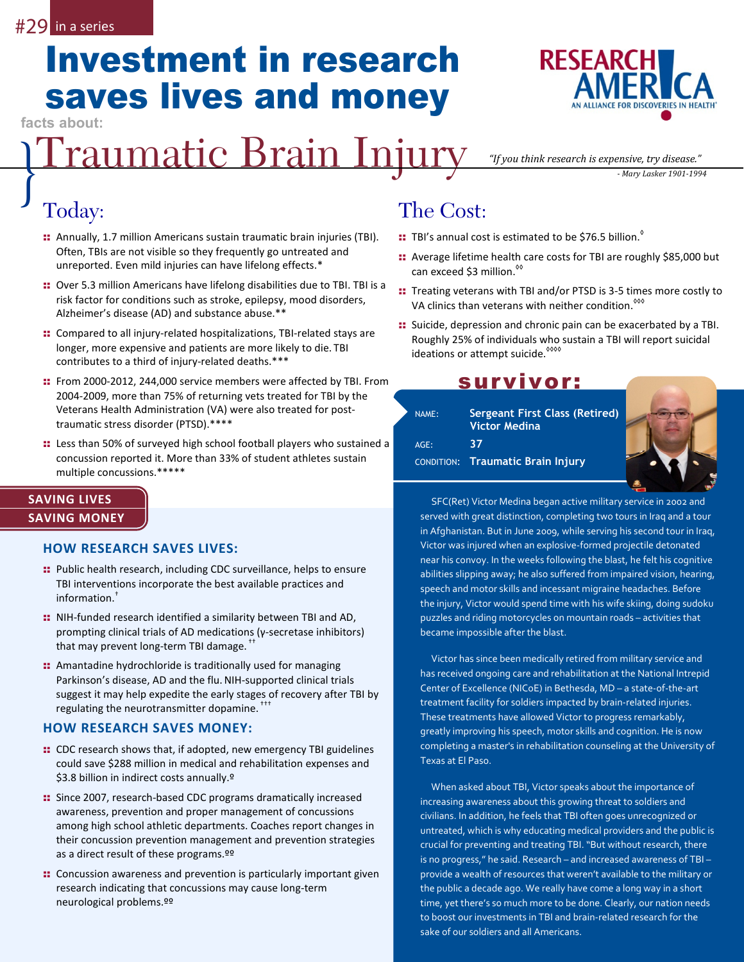## Investment in research saves lives and money

**facts about:** 

# **Praumatic Brain Injury** *"If you think research is expensive, try disease."*<br>
Today: The Cost:

## Today:

- :: Annually, 1.7 million Americans sustain traumatic brain injuries (TBI). Often, TBIs are not visible so they frequently go untreated and unreported. Even mild injuries can have lifelong effects.\*
- :: Over 5.3 million Americans have lifelong disabilities due to TBI. TBI is a risk factor for conditions such as stroke, epilepsy, mood disorders, Alzheimer's disease (AD) and substance abuse.\*\*
- :: Compared to all injury-related hospitalizations, TBI-related stays are longer, more expensive and patients are more likely to die. TBI contributes to a third of injury-related deaths.\*\*\*
- :: From 2000-2012, 244,000 service members were affected by TBI. From 2004-2009, more than 75% of returning vets treated for TBI by the Veterans Health Administration (VA) were also treated for posttraumatic stress disorder (PTSD).\*\*\*\*
- :: Less than 50% of surveyed high school football players who sustained a concussion reported it. More than 33% of student athletes sustain multiple concussions.\*\*\*\*\*

### **SAVING LIVES SAVING MONEY**

#### **HOW RESEARCH SAVES LIVES:**

- :: Public health research, including CDC surveillance, helps to ensure TBI interventions incorporate the best available practices and information.†
- : NIH-funded research identified a similarity between TBI and AD, prompting clinical trials of AD medications (γ-secretase inhibitors) that may prevent long-term TBI damage. ††
- :: Amantadine hydrochloride is traditionally used for managing Parkinson's disease, AD and the flu.NIH-supported clinical trials suggest it may help expedite the early stages of recovery after TBI by regulating the neurotransmitter dopamine.<sup>111</sup>

#### **HOW RESEARCH SAVES MONEY:**

- :: CDC research shows that, if adopted, new emergency TBI guidelines could save \$288 million in medical and rehabilitation expenses and \$3.8 billion in indirect costs annually.<sup>9</sup>
- :: Since 2007, research-based CDC programs dramatically increased awareness, prevention and proper management of concussions among high school athletic departments. Coaches report changes in their concussion prevention management and prevention strategies as a direct result of these programs.ºº
- :: Concussion awareness and prevention is particularly important given research indicating that concussions may cause long-term neurological problems.ºº

## The Cost:

- :: TBI's annual cost is estimated to be \$76.5 billion.<sup>8</sup>
- :: Average lifetime health care costs for TBI are roughly \$85,000 but can exceed \$3 million.<sup><sup>%</sup></sup>
- :: Treating veterans with TBI and/or PTSD is 3-5 times more costly to VA clinics than veterans with neither condition.<sup>800</sup>
- :: Suicide, depression and chronic pain can be exacerbated by a TBI. Roughly 25% of individuals who sustain a TBI will report suicidal ideations or attempt suicide.<sup>8000</sup>

## survivor:

| NAME:   | <b>Sergeant First Class (Retired)</b><br><b>Victor Medina</b> |  |
|---------|---------------------------------------------------------------|--|
| $AGE$ : | 37                                                            |  |
|         | <b>CONDITION: Traumatic Brain Injury</b>                      |  |
|         |                                                               |  |

SFC(Ret) Victor Medina began active military service in 2002 and served with great distinction, completing two tours in Iraq and a tour in Afghanistan. But in June 2009, while serving his second tour in Iraq, Victor was injured when an explosive-formed projectile detonated near his convoy. In the weeks following the blast, he felt his cognitive abilities slipping away; he also suffered from impaired vision, hearing, speech and motor skills and incessant migraine headaches. Before the injury, Victor would spend time with his wife skiing, doing sudoku puzzles and riding motorcycles on mountain roads – activities that became impossible after the blast.

Victor has since been medically retired from military service and has received ongoing care and rehabilitation at the National Intrepid Center of Excellence (NICoE) in Bethesda, MD – a state-of-the-art treatment facility for soldiers impacted by brain-related injuries. These treatments have allowed Victor to progress remarkably, greatly improving his speech, motor skills and cognition. He is now completing a master's in rehabilitation counseling at the University of Texas at El Paso.

When asked about TBI, Victor speaks about the importance of increasing awareness about this growing threat to soldiers and civilians. In addition, he feels that TBI often goes unrecognized or untreated, which is why educating medical providers and the public is crucial for preventing and treating TBI. "But without research, there is no progress," he said. Research – and increased awareness of TBI – provide a wealth of resources that weren't available to the military or the public a decade ago. We really have come a long way in a short time, yet there's so much more to be done. Clearly, our nation needs to boost our investments in TBI and brain-related research for the sake of our soldiers and all Americans.



*"If you think research is expensive, try disease."*